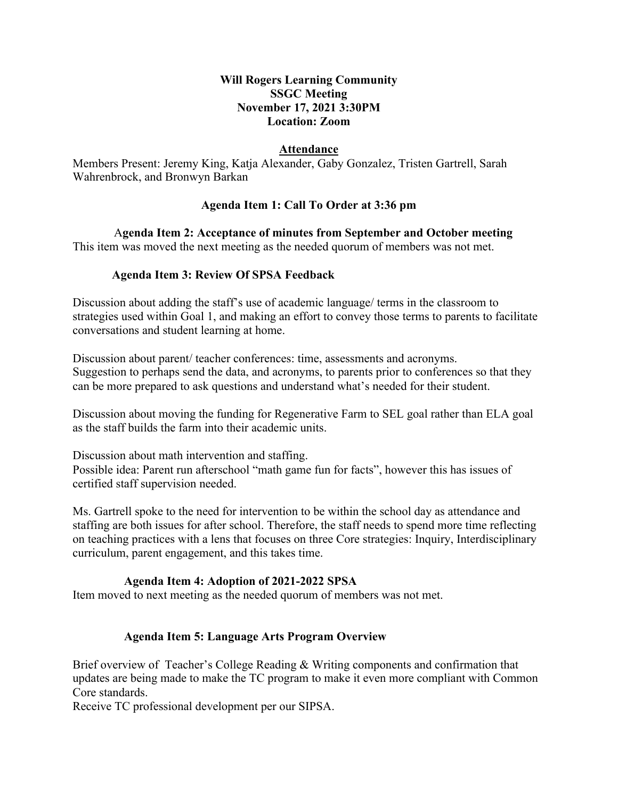# **Will Rogers Learning Community SSGC Meeting November 17, 2021 3:30PM Location: Zoom**

## **Attendance**

Members Present: Jeremy King, Katja Alexander, Gaby Gonzalez, Tristen Gartrell, Sarah Wahrenbrock, and Bronwyn Barkan

## **Agenda Item 1: Call To Order at 3:36 pm**

 A**genda Item 2: Acceptance of minutes from September and October meeting** This item was moved the next meeting as the needed quorum of members was not met.

## **Agenda Item 3: Review Of SPSA Feedback**

Discussion about adding the staff's use of academic language/ terms in the classroom to strategies used within Goal 1, and making an effort to convey those terms to parents to facilitate conversations and student learning at home.

Discussion about parent/ teacher conferences: time, assessments and acronyms. Suggestion to perhaps send the data, and acronyms, to parents prior to conferences so that they can be more prepared to ask questions and understand what's needed for their student.

Discussion about moving the funding for Regenerative Farm to SEL goal rather than ELA goal as the staff builds the farm into their academic units.

Discussion about math intervention and staffing. Possible idea: Parent run afterschool "math game fun for facts", however this has issues of certified staff supervision needed.

Ms. Gartrell spoke to the need for intervention to be within the school day as attendance and staffing are both issues for after school. Therefore, the staff needs to spend more time reflecting on teaching practices with a lens that focuses on three Core strategies: Inquiry, Interdisciplinary curriculum, parent engagement, and this takes time.

#### **Agenda Item 4: Adoption of 2021-2022 SPSA**

Item moved to next meeting as the needed quorum of members was not met.

## **Agenda Item 5: Language Arts Program Overview**

Brief overview of Teacher's College Reading & Writing components and confirmation that updates are being made to make the TC program to make it even more compliant with Common Core standards.

Receive TC professional development per our SIPSA.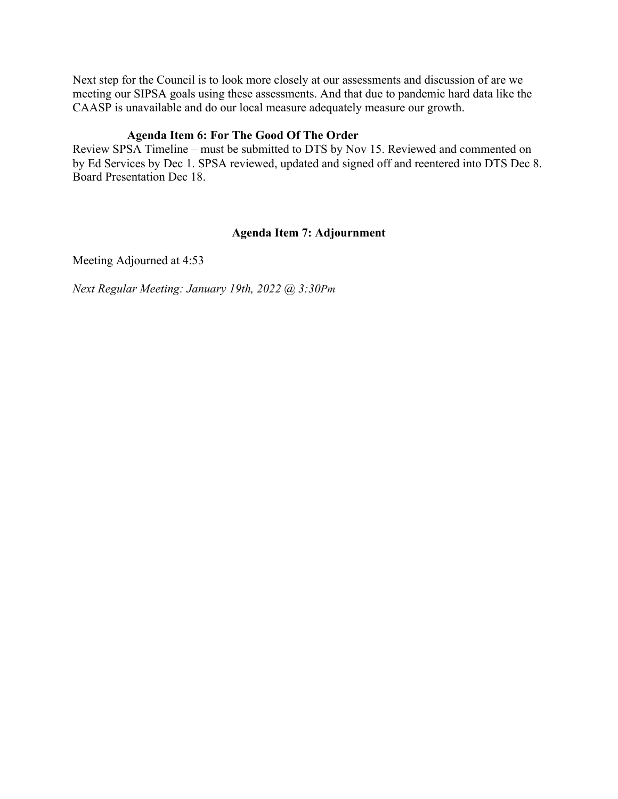Next step for the Council is to look more closely at our assessments and discussion of are we meeting our SIPSA goals using these assessments. And that due to pandemic hard data like the CAASP is unavailable and do our local measure adequately measure our growth.

# **Agenda Item 6: For The Good Of The Order**

Review SPSA Timeline – must be submitted to DTS by Nov 15. Reviewed and commented on by Ed Services by Dec 1. SPSA reviewed, updated and signed off and reentered into DTS Dec 8. Board Presentation Dec 18.

# **Agenda Item 7: Adjournment**

Meeting Adjourned at 4:53

*Next Regular Meeting: January 19th, 2022 @ 3:30Pm*